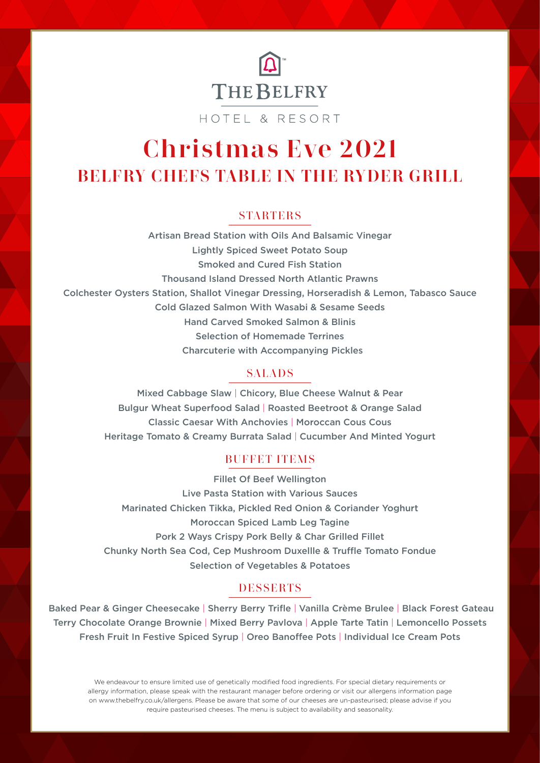

HOTEL & RESORT

## Christmas Eve 2021 BELFRY CHEFS TABLE IN THE RYDER GRILL

#### **STARTERS**

Artisan Bread Station with Oils And Balsamic Vinegar Lightly Spiced Sweet Potato Soup Smoked and Cured Fish Station Thousand Island Dressed North Atlantic Prawns Colchester Oysters Station, Shallot Vinegar Dressing, Horseradish & Lemon, Tabasco Sauce Cold Glazed Salmon With Wasabi & Sesame Seeds Hand Carved Smoked Salmon & Blinis Selection of Homemade Terrines Charcuterie with Accompanying Pickles

#### **SALADS**

Mixed Cabbage Slaw | Chicory, Blue Cheese Walnut & Pear Bulgur Wheat Superfood Salad | Roasted Beetroot & Orange Salad Classic Caesar With Anchovies | Moroccan Cous Cous Heritage Tomato & Creamy Burrata Salad | Cucumber And Minted Yogurt

#### **BUFFET ITEMS**

Fillet Of Beef Wellington Live Pasta Station with Various Sauces Marinated Chicken Tikka, Pickled Red Onion & Coriander Yoghurt Moroccan Spiced Lamb Leg Tagine Pork 2 Ways Crispy Pork Belly & Char Grilled Fillet Chunky North Sea Cod, Cep Mushroom Duxellle & Truffle Tomato Fondue Selection of Vegetables & Potatoes

#### **DESSERTS**

 Baked Pear & Ginger Cheesecake | Sherry Berry Trifle | Vanilla Crème Brulee | Black Forest Gateau Terry Chocolate Orange Brownie | Mixed Berry Pavlova | Apple Tarte Tatin | Lemoncello Possets Fresh Fruit In Festive Spiced Syrup | Oreo Banoffee Pots | Individual Ice Cream Pots

We endeavour to ensure limited use of genetically modified food ingredients. For special dietary requirements or allergy information, please speak with the restaurant manager before ordering or visit our allergens information page on www.thebelfry.co.uk/allergens. Please be aware that some of our cheeses are un-pasteurised; please advise if you require pasteurised cheeses. The menu is subject to availability and seasonality.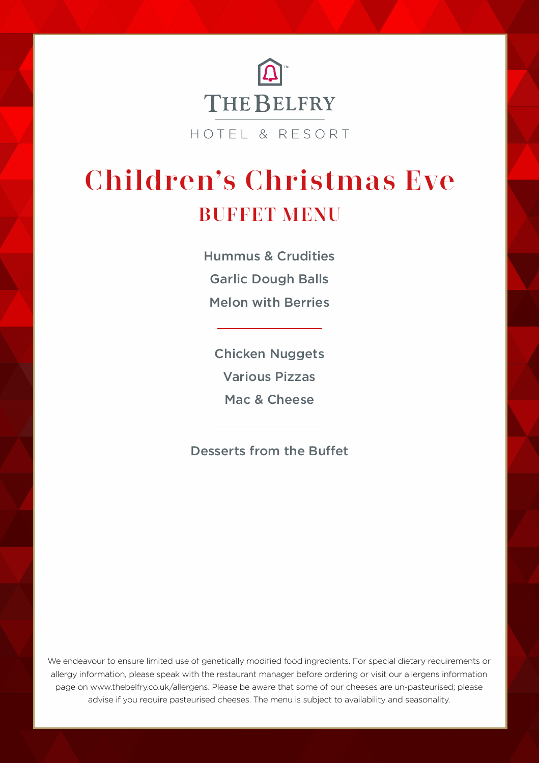

## Children's Christmas Eve BUFFET MENU

Hummus & Crudities Garlic Dough Balls Melon with Berries

Chicken Nuggets Various Pizzas Mac & Cheese

Desserts from the Buffet

We endeavour to ensure limited use of genetically modified food ingredients. For special dietary requirements or allergy information, please speak with the restaurant manager before ordering or visit our allergens information page on www.thebelfry.co.uk/allergens. Please be aware that some of our cheeses are un-pasteurised; please advise if you require pasteurised cheeses. The menu is subject to availability and seasonality.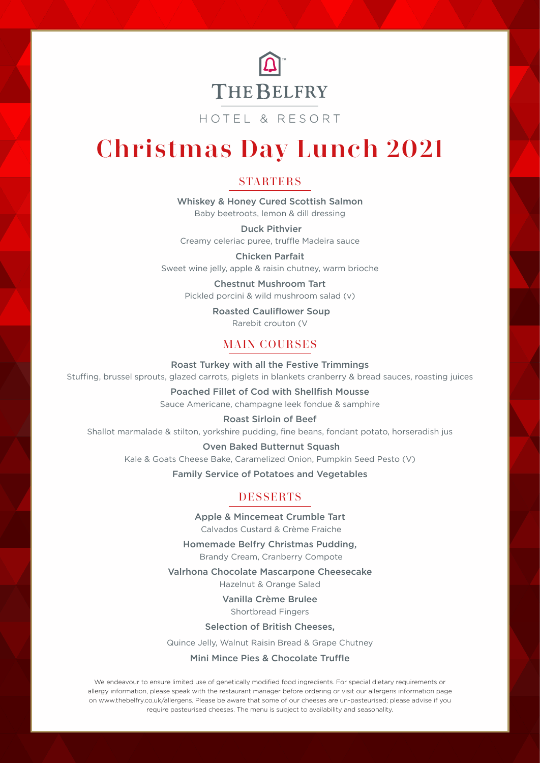

HOTEL & RESORT

# Christmas Day Lunch 2021

#### **STARTERS**

Whiskey & Honey Cured Scottish Salmon Baby beetroots, lemon & dill dressing

 Duck Pithvier Creamy celeriac puree, truffle Madeira sauce

Chicken Parfait Sweet wine jelly, apple & raisin chutney, warm brioche

Chestnut Mushroom Tart

Pickled porcini & wild mushroom salad (v)

 Roasted Cauliflower Soup Rarebit crouton (V

### **MAIN COURSES**

Roast Turkey with all the Festive Trimmings Stuffing, brussel sprouts, glazed carrots, piglets in blankets cranberry & bread sauces, roasting juices

> Poached Fillet of Cod with Shellfish Mousse Sauce Americane, champagne leek fondue & samphire

Roast Sirloin of Beef Shallot marmalade & stilton, yorkshire pudding, fine beans, fondant potato, horseradish jus

> Oven Baked Butternut Squash Kale & Goats Cheese Bake, Caramelized Onion, Pumpkin Seed Pesto (V)

> > Family Service of Potatoes and Vegetables

### **DESSERTS**

Apple & Mincemeat Crumble Tart Calvados Custard & Crème Fraiche

Homemade Belfry Christmas Pudding, Brandy Cream, Cranberry Compote

Valrhona Chocolate Mascarpone Cheesecake

Hazelnut & Orange Salad

Vanilla Crème Brulee Shortbread Fingers

Selection of British Cheeses,

Quince Jelly, Walnut Raisin Bread & Grape Chutney

#### Mini Mince Pies & Chocolate Truffle

We endeavour to ensure limited use of genetically modified food ingredients. For special dietary requirements or allergy information, please speak with the restaurant manager before ordering or visit our allergens information page on www.thebelfry.co.uk/allergens. Please be aware that some of our cheeses are un-pasteurised; please advise if you require pasteurised cheeses. The menu is subject to availability and seasonality.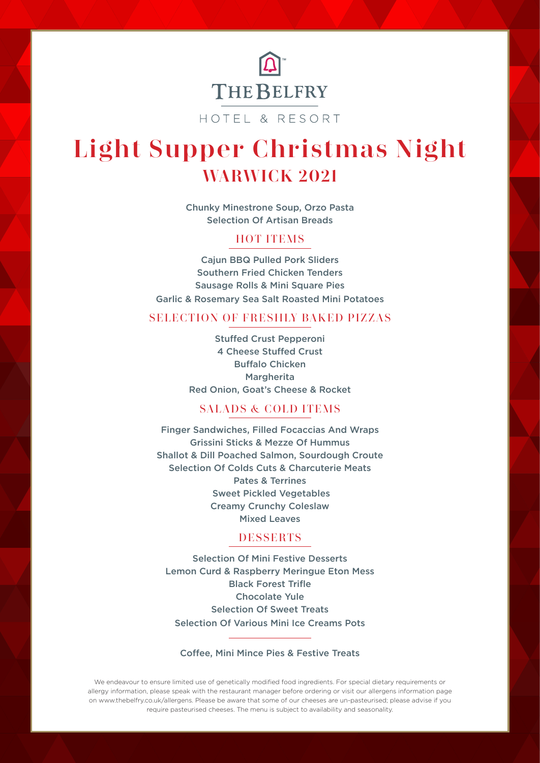

HOTEL & RESORT

# Light Supper Christmas Night WARWICK 2021

Chunky Minestrone Soup, Orzo Pasta Selection Of Artisan Breads

#### **HOT ITEMS**

Cajun BBQ Pulled Pork Sliders Southern Fried Chicken Tenders Sausage Rolls & Mini Square Pies Garlic & Rosemary Sea Salt Roasted Mini Potatoes

#### SELECTION OF FRESHLY BAKED PIZZAS

Stuffed Crust Pepperoni 4 Cheese Stuffed Crust Buffalo Chicken Margherita Red Onion, Goat's Cheese & Rocket

#### **SALADS & COLD ITEMS**

Finger Sandwiches, Filled Focaccias And Wraps Grissini Sticks & Mezze Of Hummus Shallot & Dill Poached Salmon, Sourdough Croute Selection Of Colds Cuts & Charcuterie Meats Pates & Terrines Sweet Pickled Vegetables Creamy Crunchy Coleslaw Mixed Leaves

#### **DESSERTS**

Selection Of Mini Festive Desserts Lemon Curd & Raspberry Meringue Eton Mess Black Forest Trifle Chocolate Yule Selection Of Sweet Treats Selection Of Various Mini Ice Creams Pots

#### Coffee, Mini Mince Pies & Festive Treats

We endeavour to ensure limited use of genetically modified food ingredients. For special dietary requirements or allergy information, please speak with the restaurant manager before ordering or visit our allergens information page on www.thebelfry.co.uk/allergens. Please be aware that some of our cheeses are un-pasteurised; please advise if you require pasteurised cheeses. The menu is subject to availability and seasonality.